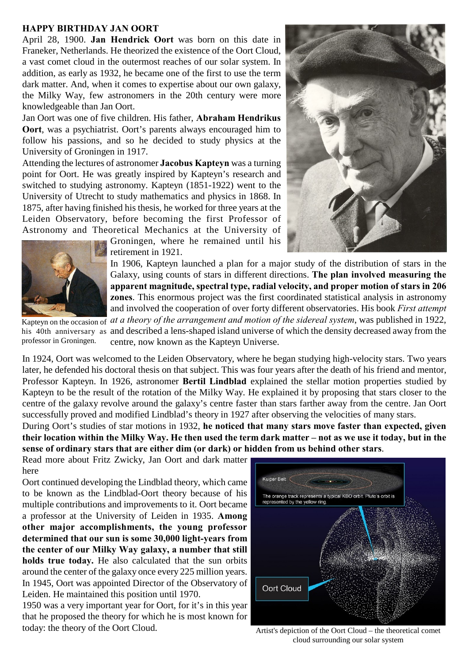## **HAPPY BIRTHDAY JAN OORT**

April 28, 1900. **Jan Hendrick Oort** was born on this date in Franeker, Netherlands. He theorized the existence of the Oort Cloud, a vast comet cloud in the outermost reaches of our solar system. In addition, as early as 1932, he became one of the first to use the term dark matter. And, when it comes to expertise about our own galaxy, the Milky Way, few astronomers in the 20th century were more knowledgeable than Jan Oort.

Jan Oort was one of five children. His father, **Abraham Hendrikus Oort**, was a psychiatrist. Oort's parents always encouraged him to follow his passions, and so he decided to study physics at the University of Groningen in 1917.

Attending the lectures of astronomer **Jacobus Kapteyn** was a turning point for Oort. He was greatly inspired by Kapteyn's research and switched to studying astronomy. Kapteyn (1851-1922) went to the University of Utrecht to study mathematics and physics in 1868. In 1875, after having finished his thesis, he worked for three years at the Leiden Observatory, before becoming the first Professor of Astronomy and Theoretical Mechanics at the University of

Groningen, where he remained until his retirement in 1921.

In 1906, Kapteyn launched a plan for a major study of the distribution of stars in the Galaxy, using counts of stars in different directions. **The plan involved measuring the apparent magnitude, spectral type, radial velocity, and proper motion of stars in 206 zones**. This enormous project was the first coordinated statistical analysis in astronomy and involved the cooperation of over forty different observatories. His book *First attempt*

Kapteyn on the occasion of his 40th anniversary as and described a lens-shaped island universe of which the density decreased away from the professor in Groningen. *at a theory of the arrangement and motion of the sidereal system*, was published in 1922, centre, now known as the Kapteyn Universe.

In 1924, Oort was welcomed to the Leiden Observatory, where he began studying high-velocity stars. Two years later, he defended his doctoral thesis on that subject. This was four years after the death of his friend and mentor, Professor Kapteyn. In 1926, astronomer **Bertil Lindblad** explained the stellar motion properties studied by Kapteyn to be the result of the rotation of the Milky Way. He explained it by proposing that stars closer to the centre of the galaxy revolve around the galaxy's centre faster than stars farther away from the centre. Jan Oort successfully proved and modified Lindblad's theory in 1927 after observing the velocities of many stars.

During Oort's studies of star motions in 1932, **he noticed that many stars move faster than expected, given their location within the Milky Way. He then used the term dark matter – not as we use it today, but in the sense of ordinary stars that are either dim (or dark) or hidden from us behind other stars**.

Read more about Fritz Zwicky, Jan Oort and dark matter here

Oort continued developing the Lindblad theory, which came to be known as the Lindblad-Oort theory because of his multiple contributions and improvements to it. Oort became a professor at the University of Leiden in 1935. **Among other major accomplishments, the young professor determined that our sun is some 30,000 light-years from the center of our Milky Way galaxy, a number that still holds true today.** He also calculated that the sun orbits around the center of the galaxy once every 225 million years. In 1945, Oort was appointed Director of the Observatory of Leiden. He maintained this position until 1970.

1950 was a very important year for Oort, for it's in this year that he proposed the theory for which he is most known for today: the theory of the Oort Cloud.



Artist's depiction of the Oort Cloud – the theoretical comet cloud surrounding our solar system